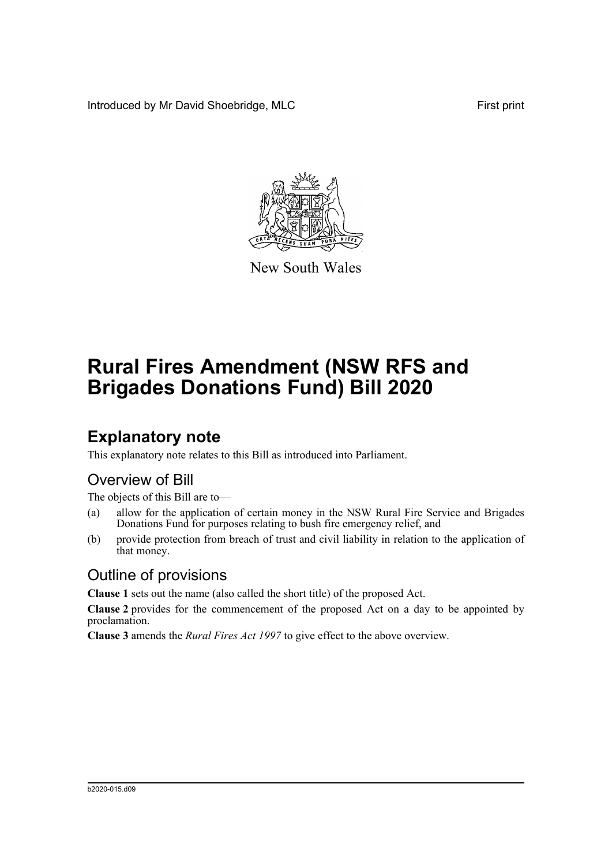Introduced by Mr David Shoebridge, MLC First print



New South Wales

# **Rural Fires Amendment (NSW RFS and Brigades Donations Fund) Bill 2020**

## **Explanatory note**

This explanatory note relates to this Bill as introduced into Parliament.

#### Overview of Bill

The objects of this Bill are to—

- (a) allow for the application of certain money in the NSW Rural Fire Service and Brigades Donations Fund for purposes relating to bush fire emergency relief, and
- (b) provide protection from breach of trust and civil liability in relation to the application of that money.

#### Outline of provisions

**Clause 1** sets out the name (also called the short title) of the proposed Act.

**Clause 2** provides for the commencement of the proposed Act on a day to be appointed by proclamation.

**Clause 3** amends the *Rural Fires Act 1997* to give effect to the above overview.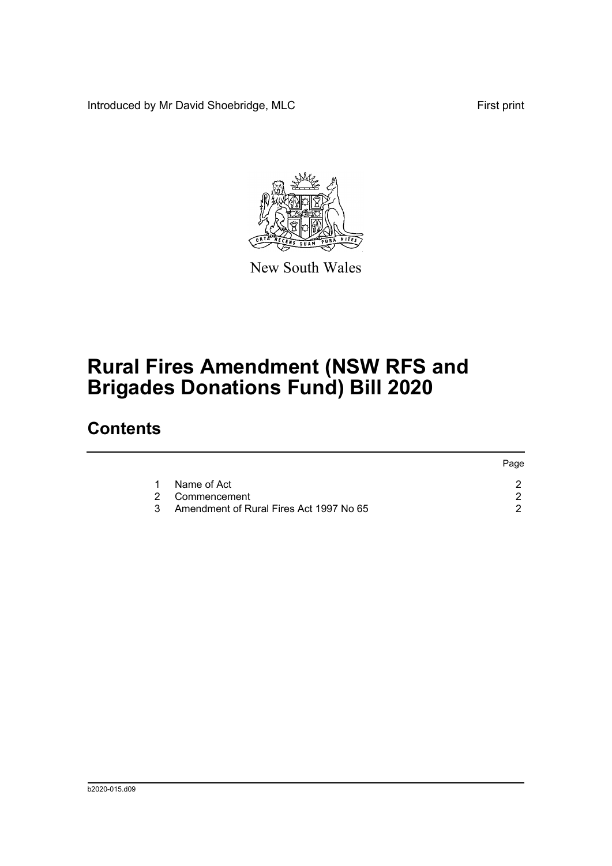Introduced by Mr David Shoebridge, MLC First print

Page



New South Wales

# **Rural Fires Amendment (NSW RFS and Brigades Donations Fund) Bill 2020**

### **Contents**

|  |                                           | raye |
|--|-------------------------------------------|------|
|  | Name of Act                               |      |
|  | 2 Commencement                            |      |
|  | 3 Amendment of Rural Fires Act 1997 No 65 |      |
|  |                                           |      |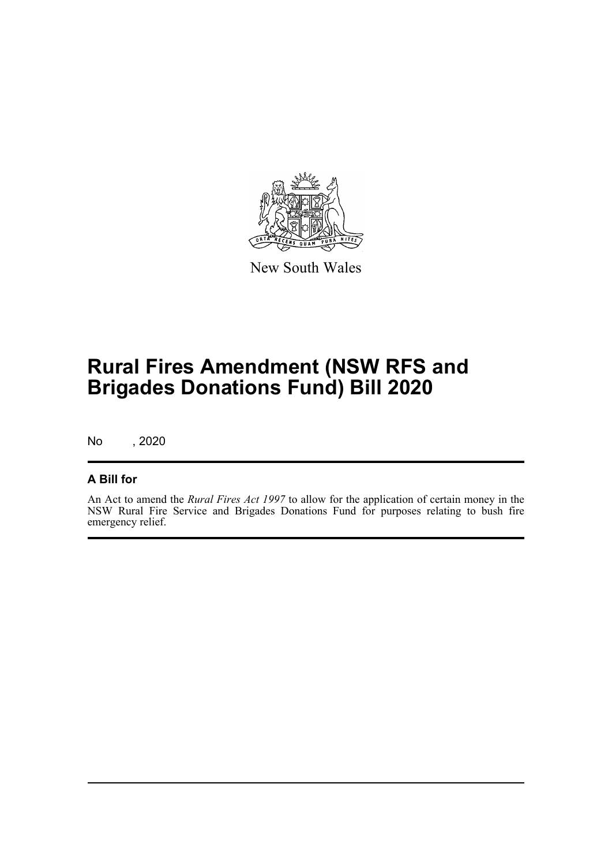

New South Wales

# **Rural Fires Amendment (NSW RFS and Brigades Donations Fund) Bill 2020**

No , 2020

#### **A Bill for**

An Act to amend the *Rural Fires Act 1997* to allow for the application of certain money in the NSW Rural Fire Service and Brigades Donations Fund for purposes relating to bush fire emergency relief.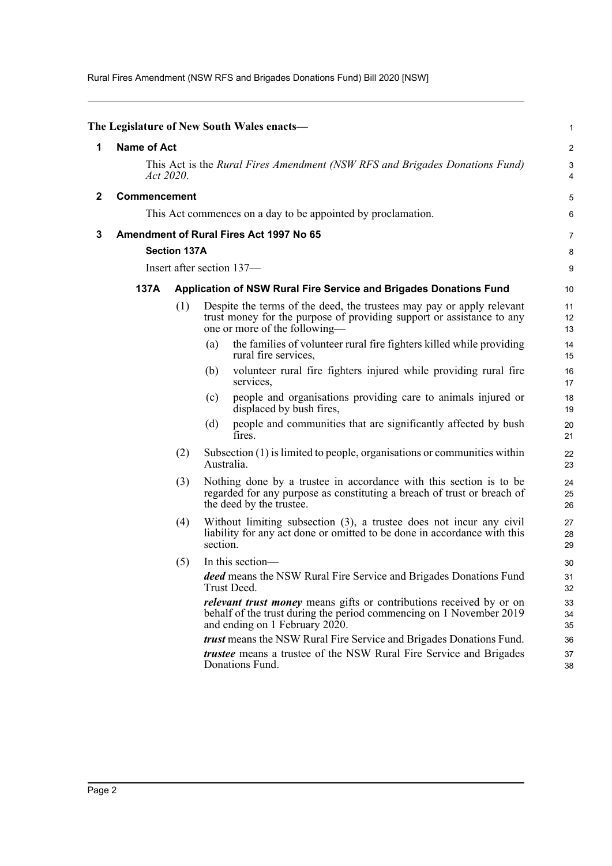Rural Fires Amendment (NSW RFS and Brigades Donations Fund) Bill 2020 [NSW]

<span id="page-3-2"></span><span id="page-3-1"></span><span id="page-3-0"></span>

|              |                                                                                          |                                                                   |     | The Legislature of New South Wales enacts—                                                                                                                                          | $\mathbf{1}$   |  |  |
|--------------|------------------------------------------------------------------------------------------|-------------------------------------------------------------------|-----|-------------------------------------------------------------------------------------------------------------------------------------------------------------------------------------|----------------|--|--|
| 1            | <b>Name of Act</b>                                                                       |                                                                   |     |                                                                                                                                                                                     |                |  |  |
|              | This Act is the Rural Fires Amendment (NSW RFS and Brigades Donations Fund)<br>Act 2020. |                                                                   |     |                                                                                                                                                                                     |                |  |  |
| $\mathbf{2}$ | <b>Commencement</b>                                                                      |                                                                   |     |                                                                                                                                                                                     |                |  |  |
|              | This Act commences on a day to be appointed by proclamation.                             |                                                                   |     |                                                                                                                                                                                     |                |  |  |
| 3            | Amendment of Rural Fires Act 1997 No 65                                                  |                                                                   |     |                                                                                                                                                                                     |                |  |  |
|              | <b>Section 137A</b>                                                                      |                                                                   |     |                                                                                                                                                                                     |                |  |  |
|              | Insert after section 137-                                                                |                                                                   |     |                                                                                                                                                                                     |                |  |  |
|              | 137A                                                                                     | Application of NSW Rural Fire Service and Brigades Donations Fund |     |                                                                                                                                                                                     |                |  |  |
|              |                                                                                          | (1)                                                               |     | Despite the terms of the deed, the trustees may pay or apply relevant<br>trust money for the purpose of providing support or assistance to any<br>one or more of the following—     | 11<br>12<br>13 |  |  |
|              |                                                                                          |                                                                   | (a) | the families of volunteer rural fire fighters killed while providing<br>rural fire services,                                                                                        | 14<br>15       |  |  |
|              |                                                                                          |                                                                   | (b) | volunteer rural fire fighters injured while providing rural fire<br>services,                                                                                                       | 16<br>17       |  |  |
|              |                                                                                          |                                                                   | (c) | people and organisations providing care to animals injured or<br>displaced by bush fires,                                                                                           | 18<br>19       |  |  |
|              |                                                                                          |                                                                   | (d) | people and communities that are significantly affected by bush<br>fires.                                                                                                            | 20<br>21       |  |  |
|              |                                                                                          | (2)                                                               |     | Subsection $(1)$ is limited to people, organisations or communities within<br>Australia.                                                                                            | 22<br>23       |  |  |
|              |                                                                                          | (3)                                                               |     | Nothing done by a trustee in accordance with this section is to be<br>regarded for any purpose as constituting a breach of trust or breach of<br>the deed by the trustee.           | 24<br>25<br>26 |  |  |
|              | (4)<br>section.                                                                          |                                                                   |     | Without limiting subsection (3), a trustee does not incur any civil<br>liability for any act done or omitted to be done in accordance with this                                     | 27<br>28<br>29 |  |  |
|              |                                                                                          | (5)                                                               |     | In this section-                                                                                                                                                                    | 30             |  |  |
|              |                                                                                          |                                                                   |     | deed means the NSW Rural Fire Service and Brigades Donations Fund<br>Trust Deed.                                                                                                    | 31<br>32       |  |  |
|              |                                                                                          |                                                                   |     | <i>relevant trust money</i> means gifts or contributions received by or on<br>behalf of the trust during the period commencing on 1 November 2019<br>and ending on 1 February 2020. | 33<br>34<br>35 |  |  |
|              |                                                                                          |                                                                   |     | trust means the NSW Rural Fire Service and Brigades Donations Fund.                                                                                                                 | 36             |  |  |
|              |                                                                                          |                                                                   |     | <i>trustee</i> means a trustee of the NSW Rural Fire Service and Brigades<br>Donations Fund.                                                                                        | 37<br>38       |  |  |